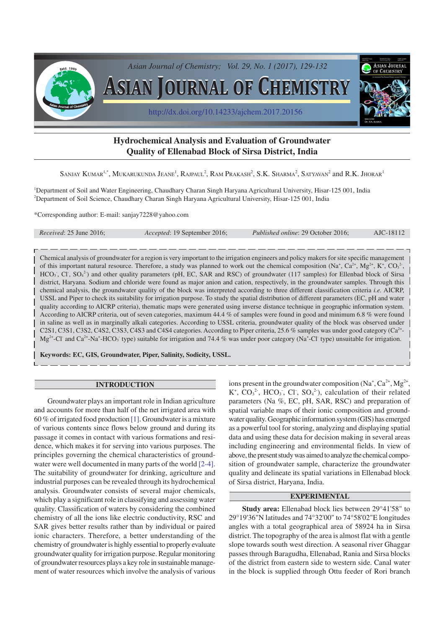

# **Hydrochemical Analysis and Evaluation of Groundwater Quality of Ellenabad Block of Sirsa District, India**

Sanjay Kumar<sup>1,\*</sup>, Mukarukunda Jeane<sup>1</sup>, Rajpaul<sup>2</sup>, Ram Prakash<sup>2</sup>, S.K. Sharma<sup>2</sup>, Satyavan<sup>2</sup> and R.K. Jhorar<sup>1</sup>

<sup>1</sup>Department of Soil and Water Engineering, Chaudhary Charan Singh Haryana Agricultural University, Hisar-125 001, India <sup>2</sup>Department of Soil Science, Chaudhary Charan Singh Haryana Agricultural University, Hisar-125 001, India

\*Corresponding author: E-mail: sanjay7228@yahoo.com

|  | <i>Received:</i> 25 June 2016;<br><i>Accepted</i> : 19 September 2016; |  | Published online: 29 October 2016;<br>AJC-18112 |
|--|------------------------------------------------------------------------|--|-------------------------------------------------|
|--|------------------------------------------------------------------------|--|-------------------------------------------------|

Chemical analysis of groundwater for a region is very important to the irrigation engineers and policy makers for site specific management of this important natural resource. Therefore, a study was planned to work out the chemical composition (Na<sup>+</sup>, Ca<sup>2+</sup>, Mg<sup>2+</sup>, K<sup>+</sup>, CO<sub>3</sub><sup>2</sup>,  $HCO<sub>3</sub>$ , Cl,  $SO<sub>4</sub><sup>2</sup>$ ) and other quality parameters (pH, EC, SAR and RSC) of groundwater (117 samples) for Ellenbad block of Sirsa district, Haryana. Sodium and chloride were found as major anion and cation, respectively, in the groundwater samples. Through this chemical analysis, the groundwater quality of the block was interpreted according to three different classification criteria *i.e.* AICRP, USSL and Piper to check its suitability for irrigation purpose. To study the spatial distribution of different parameters (EC, pH and water quality according to AICRP criteria), thematic maps were generated using inverse distance technique in geographic information system. According to AICRP criteria, out of seven categories, maximum 44.4 % of samples were found in good and minimum 6.8 % were found in saline as well as in marginally alkali categories. According to USSL criteria, groundwater quality of the block was observed under C2S1, C3S1, C3S2, C4S2, C3S3, C4S3 and C4S4 categories. According to Piper criteria, 25.6 % samples was under good category ( $Ca<sup>2+</sup>$  $Mg^{2+}$ -Cl and Ca<sup>2+</sup>-Na<sup>+</sup>-HCO<sub>3</sub> type) suitable for irrigation and 74.4 % was under poor category (Na<sup>+</sup>-Cl type) unsuitable for irrigation.

**Keywords: EC, GIS, Groundwater, Piper, Salinity, Sodicity, USSL.**

#### **INTRODUCTION**

Groundwater plays an important role in Indian agriculture and accounts for more than half of the net irrigated area with 60 % of irrigated food production [1]. Groundwater is a mixture of various contents since flows below ground and during its passage it comes in contact with various formations and residence, which makes it for serving into various purposes. The principles governing the chemical characteristics of groundwater were well documented in many parts of the world [2-4]. The suitability of groundwater for drinking, agriculture and industrial purposes can be revealed through its hydrochemical analysis. Groundwater consists of several major chemicals, which play a significant role in classifying and assessing water quality. Classification of waters by considering the combined chemistry of all the ions like electric conductivity, RSC and SAR gives better results rather than by individual or paired ionic characters. Therefore, a better understanding of the chemistry of groundwater is highly essential to properly evaluate groundwater quality for irrigation purpose. Regular monitoring of groundwater resources plays a key role in sustainable management of water resources which involve the analysis of various

ions present in the groundwater composition  $(Na^+, Ca^{2+}, Mg^{2+},$  $K^+$ ,  $CO_3^2$ , HCO<sub>3</sub>, Cl,  $SO_4^2$ ), calculation of their related parameters (Na %, EC, pH, SAR, RSC) and preparation of spatial variable maps of their ionic composition and groundwater quality. Geographic information system (GIS) has emerged as a powerful tool for storing, analyzing and displaying spatial data and using these data for decision making in several areas including engineering and environmental fields. In view of above, the present study was aimed to analyze the chemical composition of groundwater sample, characterize the groundwater quality and delineate its spatial variations in Ellenabad block of Sirsa district, Haryana, India.

## **EXPERIMENTAL**

**Study area:** Ellenabad block lies between 29°41'58" to 29°19'36"N latitudes and 74°32'00" to 74°58'02"E longitudes angles with a total geographical area of 58924 ha in Sirsa district. The topography of the area is almost flat with a gentle slope towards south west direction. A seasonal river Ghaggar passes through Baragudha, Ellenabad, Rania and Sirsa blocks of the district from eastern side to western side. Canal water in the block is supplied through Ottu feeder of Rori branch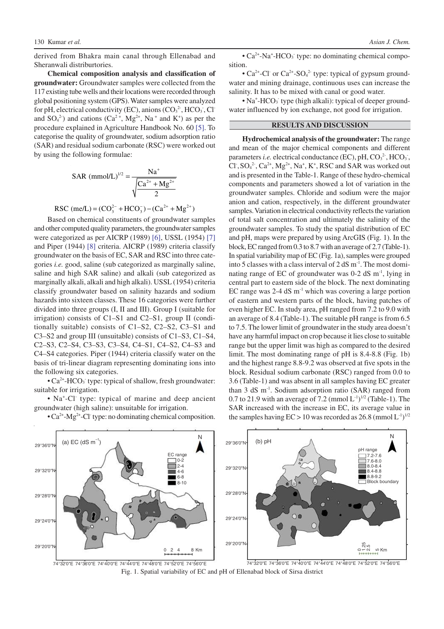derived from Bhakra main canal through Ellenabad and Sheranwali distriburtories.

**Chemical composition analysis and classification of groundwater:** Groundwater samples were collected from the 117 existing tube wells and their locations were recorded through global positioning system (GPS). Water samples were analyzed for pH, electrical conductivity (EC), anions  $(CO<sub>3</sub><sup>2</sup>$ , HCO<sub>3</sub>, Cl<sup>-</sup> and  $SO_4^2$ ) and cations ( $Ca^2$ <sup>+</sup>, Mg<sup>2+</sup>, Na<sup>+</sup> and K<sup>+</sup>) as per the procedure explained in Agriculture Handbook No. 60 [5]. To categorise the quality of groundwater, sodium adsorption ratio (SAR) and residual sodium carbonate (RSC) were worked out by using the following formulae:

$$
SAR \text{ (mmol/L)}^{1/2} = \frac{Na^{+}}{\sqrt{\frac{Ca^{2+} + Mg^{2+}}{2}}}
$$

RSC (me/L) = 
$$
(CO_3^{2-} + HCO_3^-) - (Ca^{2+} + Mg^{2+})
$$

Based on chemical constituents of groundwater samples and other computed quality parameters, the groundwater samples were categorized as per AICRP (1989) [6], USSL (1954) [7] and Piper (1944) [8] criteria. AICRP (1989) criteria classify groundwater on the basis of EC, SAR and RSC into three categories *i.e.* good, saline (sub categorized as marginally saline, saline and high SAR saline) and alkali (sub categorized as marginally alkali, alkali and high alkali). USSL (1954) criteria classify groundwater based on salinity hazards and sodium hazards into sixteen classes. These 16 categories were further divided into three groups (I, II and III). Group I (suitable for irrigation) consists of C1–S1 and C2–S1, group II (conditionally suitable) consists of C1–S2, C2–S2, C3–S1 and C3–S2 and group III (unsuitable) consists of C1–S3, C1–S4, C2–S3, C2–S4, C3–S3, C3–S4, C4–S1, C4–S2, C4–S3 and C4–S4 categories. Piper (1944) criteria classify water on the basis of tri-linear diagram representing dominating ions into the following six categories.

 $\cdot$  Ca<sup>2+</sup>-HCO<sub>3</sub> type: typical of shallow, fresh groundwater: suitable for irrigation.

• Na<sup>+</sup> -Cl- type: typical of marine and deep ancient groundwater (high saline): unsuitable for irrigation.

•  $Ca^{2+}$ -Mg<sup>2+</sup>-Cl type: no dominating chemical composition.

• Ca<sup>2+</sup>-Na<sup>+</sup>-HCO<sub>3</sub> type: no dominating chemical composition.

• Ca<sup>2+</sup>-Cl or Ca<sup>2+</sup>-SO<sub>4</sub><sup>2-</sup> type: typical of gypsum groundwater and mining drainage, continuous uses can increase the salinity. It has to be mixed with canal or good water.

• Na<sup>+</sup>-HCO<sub>3</sub> type (high alkali): typical of deeper groundwater influenced by ion exchange, not good for irrigation.

#### **RESULTS AND DISCUSSION**

**Hydrochemical analysis of the groundwater:** The range and mean of the major chemical components and different parameters *i.e.* electrical conductance  $(EC)$ , pH,  $CO<sub>3</sub><sup>2</sup>$ , HCO<sub>3</sub>, Cl,  $SO_4^2$ ,  $Ca^{2+}$ ,  $Mg^{2+}$ ,  $Na^+$ ,  $K^+$ , RSC and SAR was worked out and is presented in the Table-1. Range of these hydro-chemical components and parameters showed a lot of variation in the groundwater samples. Chloride and sodium were the major anion and cation, respectively, in the different groundwater samples. Variation in electrical conductivity reflects the variation of total salt concentration and ultimately the salinity of the groundwater samples. To study the spatial distribution of EC and pH, maps were prepared by using ArcGIS (Fig. 1). In the block, EC ranged from 0.3 to 8.7 with an average of 2.7 (Table-1). In spatial variability map of EC (Fig. 1a), samples were grouped into 5 classes with a class interval of 2 dS m-1. The most dominating range of EC of groundwater was 0-2 dS m-1, lying in central part to eastern side of the block. The next dominating EC range was 2-4 dS m-1 which was covering a large portion of eastern and western parts of the block, having patches of even higher EC. In study area, pH ranged from 7.2 to 9.0 with an average of 8.4 (Table-1). The suitable pH range is from 6.5 to 7.5. The lower limit of groundwater in the study area doesn't have any harmful impact on crop because it lies close to suitable range but the upper limit was high as compared to the desired limit. The most dominating range of pH is 8.4-8.8 (Fig. 1b) and the highest range 8.8-9.2 was observed at five spots in the block. Residual sodium carbonate (RSC) ranged from 0.0 to 3.6 (Table-1) and was absent in all samples having EC greater than 3 dS m<sup>-1</sup>. Sodium adsorption ratio (SAR) ranged from 0.7 to 21.9 with an average of 7.2 (mmol  $L^{-1}$ )<sup>1/2</sup> (Table-1). The SAR increased with the increase in EC, its average value in the samples having  $EC > 10$  was recorded as 26.8 (mmol  $L^{-1}$ )<sup>1/2</sup>



Fig. 1. Spatial variability of EC and pH of Ellenabad block of Sirsa district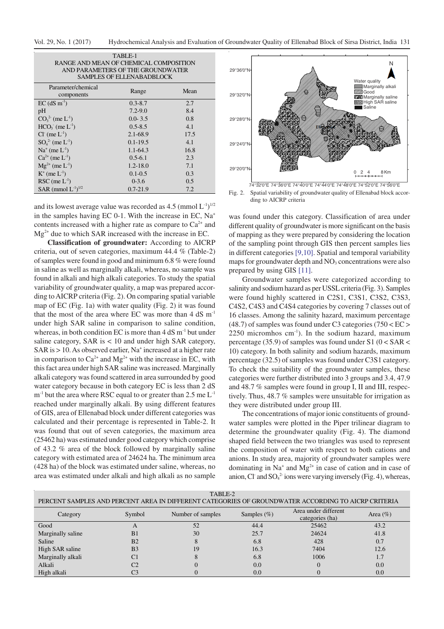| TABLE-1<br>RANGE AND MEAN OF CHEMICAL COMPOSITION<br>AND PARAMETERS OF THE GROUNDWATER<br><b>SAMPLES OF ELLENABADBLOCK</b> |              |      |  |  |  |  |
|----------------------------------------------------------------------------------------------------------------------------|--------------|------|--|--|--|--|
| Parameter/chemical<br>components                                                                                           | Range        | Mean |  |  |  |  |
| $EC$ (dS m <sup>-1</sup> )                                                                                                 | $0.3 - 8.7$  | 2.7  |  |  |  |  |
| pH                                                                                                                         | $7.2 - 9.0$  | 8.4  |  |  |  |  |
| $CO_3^{2}$ (me $L^{-1}$ )                                                                                                  | $0.0 - 3.5$  | 0.8  |  |  |  |  |
| $HCO3$ (me $L-1$ )                                                                                                         | $0.5 - 8.5$  | 4.1  |  |  |  |  |
| $Cl-$ (me $L-1$ )                                                                                                          | $2.1 - 68.9$ | 17.5 |  |  |  |  |
| $SO_4^2$ (me $L^{-1}$ )                                                                                                    | $0.1 - 19.5$ | 4.1  |  |  |  |  |
| $Na+$ (me $L-1$ )                                                                                                          | $1.1 - 64.3$ | 16.8 |  |  |  |  |
| $Ca^{2+}$ (me $L^{-1}$ )                                                                                                   | $0.5 - 6.1$  | 2.3  |  |  |  |  |
| $Mg^{2+}$ (me $L^{-1}$ )                                                                                                   | $1.2 - 18.0$ | 7.1  |  |  |  |  |
| $K^+$ (me $L^{-1}$ )                                                                                                       | $0.1 - 0.5$  | 0.3  |  |  |  |  |
| $RSC$ (me $L^{-1}$ )                                                                                                       | $0 - 3.6$    | 0.5  |  |  |  |  |
| SAR (mmol $L^{-1}$ ) <sup>1/2</sup>                                                                                        | $0.7 - 21.9$ | 7.2  |  |  |  |  |

and its lowest average value was recorded as  $4.5 \, (\text{mmol L}^{-1})^{1/2}$ in the samples having EC 0-1. With the increase in EC, Na<sup>+</sup> contents increased with a higher rate as compare to  $Ca^{2+}$  and  $Mg^{2+}$  due to which SAR increased with the increase in EC.

**Classification of groundwater:** According to AICRP criteria, out of seven categories, maximum 44.4 % (Table-2) of samples were found in good and minimum 6.8 % were found in saline as well as marginally alkali, whereas, no sample was found in alkali and high alkali categories. To study the spatial variability of groundwater quality, a map was prepared according to AICRP criteria (Fig. 2). On comparing spatial variable map of EC (Fig. 1a) with water quality (Fig. 2) it was found that the most of the area where EC was more than  $4 \text{ dS} \text{ m}^{-1}$ under high SAR saline in comparison to saline condition, whereas, in both condition EC is more than  $4 dS m<sup>-1</sup>$  but under saline category, SAR is  $< 10$  and under high SAR category, SAR is > 10. As observed earlier, Na<sup>+</sup> increased at a higher rate in comparison to  $Ca^{2+}$  and  $Mg^{2+}$  with the increase in EC, with this fact area under high SAR saline was increased. Marginally alkali category was found scattered in area surrounded by good water category because in both category EC is less than 2 dS  $m<sup>-1</sup>$  but the area where RSC equal to or greater than 2.5 me  $L<sup>-1</sup>$ reached under marginally alkali. By using different features of GIS, area of Ellenabad block under different categories was calculated and their percentage is represented in Table-2. It was found that out of seven categories, the maximum area (25462 ha) was estimated under good category which comprise of 43.2 % area of the block followed by marginally saline category with estimated area of 24624 ha. The minimum area (428 ha) of the block was estimated under saline, whereas, no area was estimated under alkali and high alkali as no sample



Fig. 2. Spatial variability of groundwater quality of Ellenabad block according to AICRP criteria

was found under this category. Classification of area under different quality of groundwater is more significant on the basis of mapping as they were prepared by considering the location of the sampling point through GIS then percent samples lies in different categories [9,10]. Spatial and temporal variability maps for groundwater depth and  $NO<sub>3</sub>$  concentrations were also prepared by using GIS [11].

Groundwater samples were categorized according to salinity and sodium hazard as per USSL criteria (Fig. 3). Samples were found highly scattered in C2S1, C3S1, C3S2, C3S3, C4S2, C4S3 and C4S4 categories by covering 7 classes out of 16 classes. Among the salinity hazard, maximum percentage  $(48.7)$  of samples was found under C3 categories  $(750 < BC$ 2250 micromhos cm<sup>-1</sup>). In the sodium hazard, maximum percentage (35.9) of samples was found under S1 ( $0 <$  SAR  $<$ 10) category. In both salinity and sodium hazards, maximum percentage (32.5) of samples was found under C3S1 category. To check the suitability of the groundwater samples, these categories were further distributed into 3 groups and 3.4, 47.9 and 48.7 % samples were found in group I, II and III, respectively. Thus, 48.7 % samples were unsuitable for irrigation as they were distributed under group III.

The concentrations of major ionic constituents of groundwater samples were plotted in the Piper trilinear diagram to determine the groundwater quality (Fig. 4). The diamond shaped field between the two triangles was used to represent the composition of water with respect to both cations and anions. In study area, majority of groundwater samples were dominating in  $Na^+$  and  $Mg^{2+}$  in case of cation and in case of anion, Cl and  $SO_4^2$  ions were varying inversely (Fig. 4), whereas,

| TABLE-2<br>PERCENT SAMPLES AND PERCENT AREA IN DIFFERENT CATEGORIES OF GROUNDWATER ACCORDING TO AICRP CRITERIA |                |                   |                |                                         |              |  |  |
|----------------------------------------------------------------------------------------------------------------|----------------|-------------------|----------------|-----------------------------------------|--------------|--|--|
| Category                                                                                                       | Symbol         | Number of samples | Samples $(\%)$ | Area under different<br>categories (ha) | Area $(\% )$ |  |  |
| Good                                                                                                           | A              | 52                | 44.4           | 25462                                   | 43.2         |  |  |
| Marginally saline                                                                                              | B <sub>1</sub> | 30                | 25.7           | 24624                                   | 41.8         |  |  |
| Saline                                                                                                         | B <sub>2</sub> |                   | 6.8            | 428                                     | 0.7          |  |  |
| High SAR saline                                                                                                | B <sub>3</sub> | 19                | 16.3           | 7404                                    | 12.6         |  |  |
| Marginally alkali                                                                                              | C <sub>1</sub> |                   | 6.8            | 1006                                    | 1.7          |  |  |
| Alkali                                                                                                         | C2             |                   | 0.0            |                                         | 0.0          |  |  |
| High alkali                                                                                                    | C3             |                   | 0.0            |                                         | 0.0          |  |  |